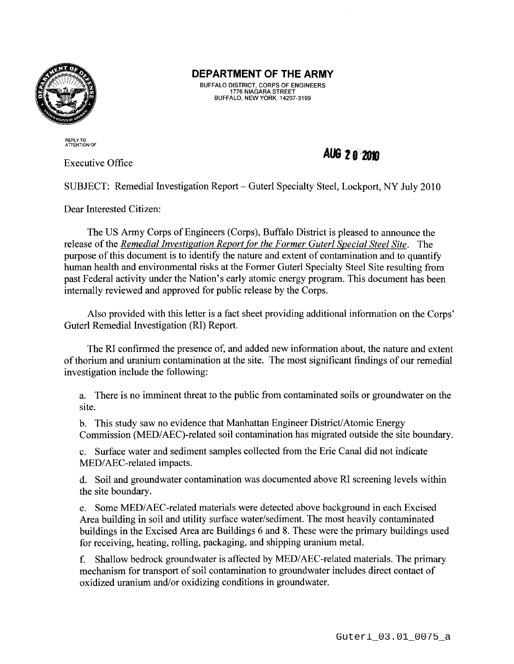

## **DEPARTMENT OF THE ARMY**

BUFFALO DISTRICT, CORPS OF ENGINEERS 1776 NIAGARA STREET BUFFALO, NEW YORK 14207-3199

REPLY TO ATTENTION OF

Executive Office

*AUG* **Z ff'201J** 

SUBJECT: Remedial Investigation Report- Guterl Specialty Steel, Lockport, NY July 2010

Dear Interested Citizen:

The US Army Corps of Engineers (Corps), Buffalo District is pleased to announce the release of the *Remedial Investigation Report for the Former Guterl Special Steel Site.* The purpose of this document is to identify the nature and extent of contamination and to quantify human health and environmental risks at the Former Guterl Specialty Steel Site resulting from past Federal activity under the Nation's early atomic energy program. This document has been internally reviewed and approved for public release by the Corps.

Also provided with this letter is a fact sheet providing additional information on the Corps' Guterl Remedial Investigation (RI) Report.

The RI confirmed the presence of, and added new information about, the nature and extent of thorium and uranium contamination at the site. The most significant findings of our remedial investigation include the following:

a. There is no imminent threat to the public from contaminated soils or groundwater on the site.

b. This study saw no evidence that Manhattan Engineer District/ Atomic Energy Commission (MED/AEC)-related soil contamination has migrated outside the site boundary.

c. Surface water and sediment samples collected from the Erie Canal did not indicate MED/AEC-related impacts.

d. Soil and groundwater contamination was documented above RI screening levels within the site boundary.

e. Some MED/ AEC-related materials were detected above background in each Excised Area building in soil and utility surface water/sediment. The most heavily contaminated buildings in the Excised Area are Buildings 6 and 8. These were the primary buildings used for receiving, heating, rolling, packaging, and shipping uranium metal.

f. Shallow bedrock groundwater is affected by MED/AEC-related materials. The primary mechanism for transport of soil contamination to groundwater includes direct contact of oxidized uranium and/or oxidizing conditions in groundwater.